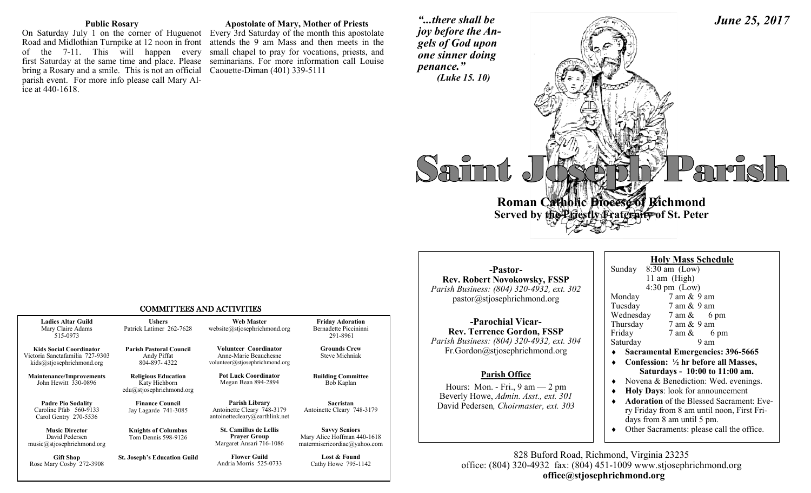#### **Public Rosary**

Road and Midlothian Turnpike at 12 noon in front attends the 9 am Mass and then meets in the of the 7-11. This will happen every small chapel to pray for vocations, priests, and first Saturday at the same time and place. Please seminarians. For more information call Louise bring a Rosary and a smile. This is not an official parish event. For more info please call Mary Alice at 440-1618.

Rose Mary Cosby 272-3908

## **Apostolate of Mary, Mother of Priests**

On Saturday July 1 on the corner of Huguenot Every 3rd Saturday of the month this apostolate Caouette-Diman (401) 339-5111

*"...there shall be joy before the Angels of God upon one sinner doing penance." (Luke 15. 10)*



## COMMITTEES AND ACTIVITIES

| <b>Ladies Altar Guild</b><br>Mary Claire Adams<br>515-0973                                     | <b>Ushers</b><br>Patrick Latimer 262-7628                               | <b>Web Master</b><br>website@stjosephrichmond.org                                     | <b>Friday Adoration</b><br>Bernadette Piccininni<br>291-8961                        |
|------------------------------------------------------------------------------------------------|-------------------------------------------------------------------------|---------------------------------------------------------------------------------------|-------------------------------------------------------------------------------------|
| <b>Kids Social Coordinator</b><br>Victoria Sanctafamilia 727-9303<br>kids@stjosephrichmond.org | <b>Parish Pastoral Council</b><br>Andy Piffat<br>804-897-4322           | Volunteer Coordinator<br>Anne-Marie Beauchesne<br>volunteer@stjosephrichmond.org      | <b>Grounds Crew</b><br>Steve Michniak                                               |
| <b>Maintenance/Improvements</b><br>John Hewitt 330-0896                                        | <b>Religious Education</b><br>Katy Hichborn<br>edu@stjosephrichmond.org | <b>Pot Luck Coordinator</b><br>Megan Bean 894-2894                                    | <b>Building Committee</b><br>Bob Kaplan                                             |
| <b>Padre Pio Sodality</b><br>Caroline Pfab 560-9133<br>Carol Gentry 270-5536                   | <b>Finance Council</b><br>Jay Lagarde 741-3085                          | <b>Parish Library</b><br>Antoinette Cleary 748-3179<br>antoinettecleary@earthlink.net | <b>Sacristan</b><br>Antoinette Cleary 748-3179                                      |
| <b>Music Director</b><br>David Pedersen<br>music@stjosephrichmond.org                          | <b>Knights of Columbus</b><br>Tom Dennis 598-9126                       | <b>St. Camillus de Lellis</b><br><b>Prayer Group</b><br>Margaret Ansari 716-1086      | <b>Savvy Seniors</b><br>Mary Alice Hoffman 440-1618<br>matermisericordiae@yahoo.com |
| <b>Gift Shop</b><br>Rose Marv Cosby 272-3908                                                   | <b>St. Joseph's Education Guild</b>                                     | <b>Flower Guild</b><br>Andria Morris 525-0733                                         | Lost & Found<br>Cathy Howe 795-1142                                                 |

**-Pastor-Rev. Robert Novokowsky, FSSP** *Parish Business: (804) 320-4932, ext. 302* pastor@stjosephrichmond.org

**-Parochial Vicar-Rev. Terrence Gordon, FSSP** *Parish Business: (804) 320-4932, ext. 304* Fr.Gordon@stjosephrichmond.org

#### **Parish Office**

Hours: Mon. - Fri.,  $9 \text{ am} - 2 \text{ pm}$ Beverly Howe, *Admin. Asst., ext. 301*  David Pedersen*, Choirmaster, ext. 303*

|           | <b>Holy Mass Schedule</b> |                                 |
|-----------|---------------------------|---------------------------------|
| Sunday    | $8:30$ am (Low)           |                                 |
|           | 11 am (High)              |                                 |
|           | $4:30 \text{ pm}$ (Low)   |                                 |
| Monday    | 7 am & 9 am               |                                 |
| Tuesday   | 7 am & 9 am               |                                 |
| Wednesday |                           | $7 \text{ am } \& 6 \text{ pm}$ |
| Thursday  | 7 am & 9 am               |                                 |
| Friday    |                           | $7 \text{ am } \& 6 \text{ pm}$ |
| Saturday  |                           | 9 am                            |
|           |                           |                                 |

**Sacramental Emergencies: 396-5665** 

*June 25, 2017*

- **Confession: ½ hr before all Masses, Saturdays - 10:00 to 11:00 am.**
- Novena & Benediction: Wed. evenings.
- **Holy Days**: look for announcement
- **Adoration** of the Blessed Sacrament: Every Friday from 8 am until noon, First Fridays from 8 am until 5 pm.
- Other Sacraments: please call the office.

828 Buford Road, Richmond, Virginia 23235 office: (804) 320-4932 fax: (804) 451-1009 www.stjosephrichmond.org  **office@stjosephrichmond.org**